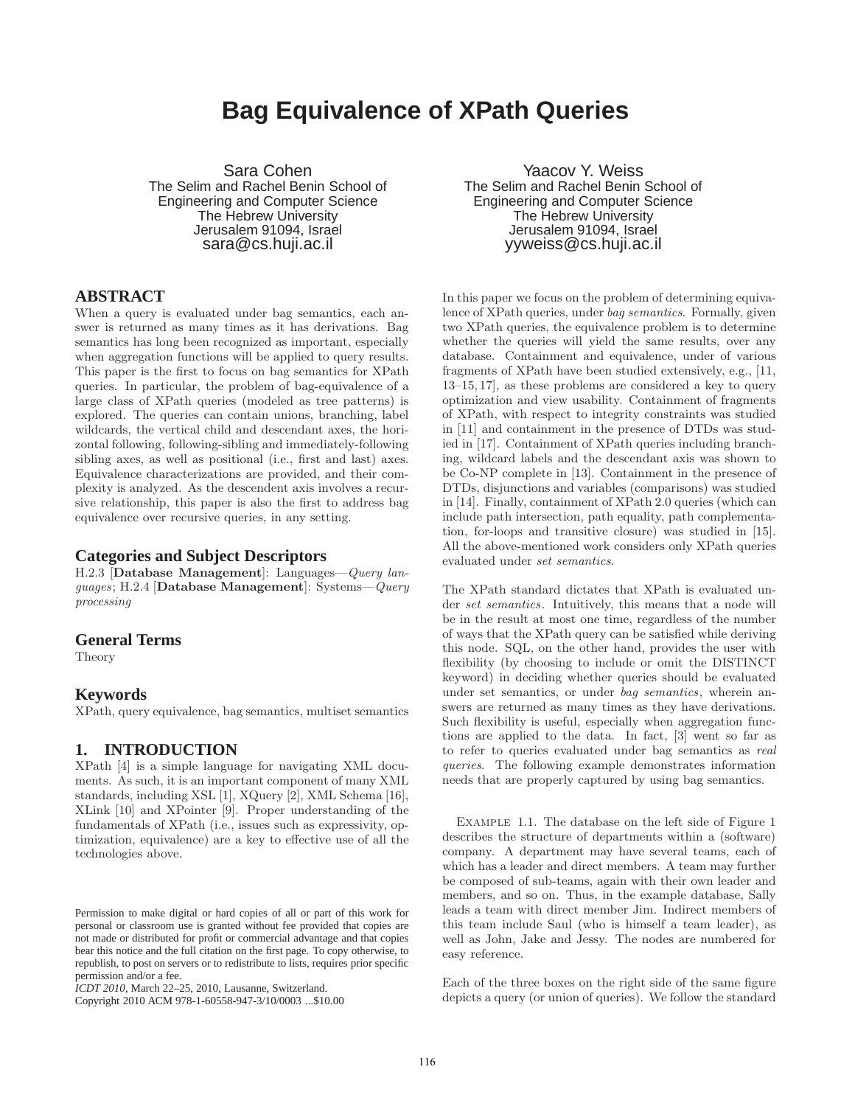# **Bag Equivalence of XPath Queries**

Sara Cohen The Selim and Rachel Benin School of Engineering and Computer Science The Hebrew University Jerusalem 91094, Israel sara@cs.huji.ac.il

## **ABSTRACT**

When a query is evaluated under bag semantics, each answer is returned as many times as it has derivations. Bag semantics has long been recognized as important, especially when aggregation functions will be applied to query results. This paper is the first to focus on bag semantics for XPath queries. In particular, the problem of bag-equivalence of a large class of XPath queries (modeled as tree patterns) is explored. The queries can contain unions, branching, label wildcards, the vertical child and descendant axes, the horizontal following, following-sibling and immediately-following sibling axes, as well as positional (i.e., first and last) axes. Equivalence characterizations are provided, and their complexity is analyzed. As the descendent axis involves a recursive relationship, this paper is also the first to address bag equivalence over recursive queries, in any setting.

#### **Categories and Subject Descriptors**

H.2.3 [Database Management]: Languages—*Query languages*; H.2.4 [Database Management]: Systems—*Query processing*

# **General Terms**

Theory

#### **Keywords**

XPath, query equivalence, bag semantics, multiset semantics

# **1. INTRODUCTION**

XPath [4] is a simple language for navigating XML documents. As such, it is an important component of many XML standards, including XSL [1], XQuery [2], XML Schema [16], XLink [10] and XPointer [9]. Proper understanding of the fundamentals of XPath (i.e., issues such as expressivity, optimization, equivalence) are a key to effective use of all the technologies above.

Copyright 2010 ACM 978-1-60558-947-3/10/0003 ...\$10.00

Yaacov Y. Weiss The Selim and Rachel Benin School of Engineering and Computer Science The Hebrew University Jerusalem 91094, Israel yyweiss@cs.huji.ac.il

In this paper we focus on the problem of determining equivalence of XPath queries, under *bag semantics*. Formally, given two XPath queries, the equivalence problem is to determine whether the queries will yield the same results, over any database. Containment and equivalence, under of various fragments of XPath have been studied extensively, e.g., [11, 13–15, 17], as these problems are considered a key to query optimization and view usability. Containment of fragments of XPath, with respect to integrity constraints was studied in [11] and containment in the presence of DTDs was studied in [17]. Containment of XPath queries including branching, wildcard labels and the descendant axis was shown to be Co-NP complete in [13]. Containment in the presence of DTDs, disjunctions and variables (comparisons) was studied in [14]. Finally, containment of XPath 2.0 queries (which can include path intersection, path equality, path complementation, for-loops and transitive closure) was studied in [15]. All the above-mentioned work considers only XPath queries evaluated under *set semantics*.

The XPath standard dictates that XPath is evaluated under *set semantics*. Intuitively, this means that a node will be in the result at most one time, regardless of the number of ways that the XPath query can be satisfied while deriving this node. SQL, on the other hand, provides the user with flexibility (by choosing to include or omit the DISTINCT keyword) in deciding whether queries should be evaluated under set semantics, or under *bag semantics*, wherein answers are returned as many times as they have derivations. Such flexibility is useful, especially when aggregation functions are applied to the data. In fact, [3] went so far as to refer to queries evaluated under bag semantics as *real queries*. The following example demonstrates information needs that are properly captured by using bag semantics.

Example 1.1. The database on the left side of Figure 1 describes the structure of departments within a (software) company. A department may have several teams, each of which has a leader and direct members. A team may further be composed of sub-teams, again with their own leader and members, and so on. Thus, in the example database, Sally leads a team with direct member Jim. Indirect members of this team include Saul (who is himself a team leader), as well as John, Jake and Jessy. The nodes are numbered for easy reference.

Each of the three boxes on the right side of the same figure depicts a query (or union of queries). We follow the standard

Permission to make digital or hard copies of all or part of this work for personal or classroom use is granted without fee provided that copies are not made or distributed for profit or commercial advantage and that copies bear this notice and the full citation on the first page. To copy otherwise, to republish, to post on servers or to redistribute to lists, requires prior specific permission and/or a fee.

*ICDT 2010*, March 22–25, 2010, Lausanne, Switzerland.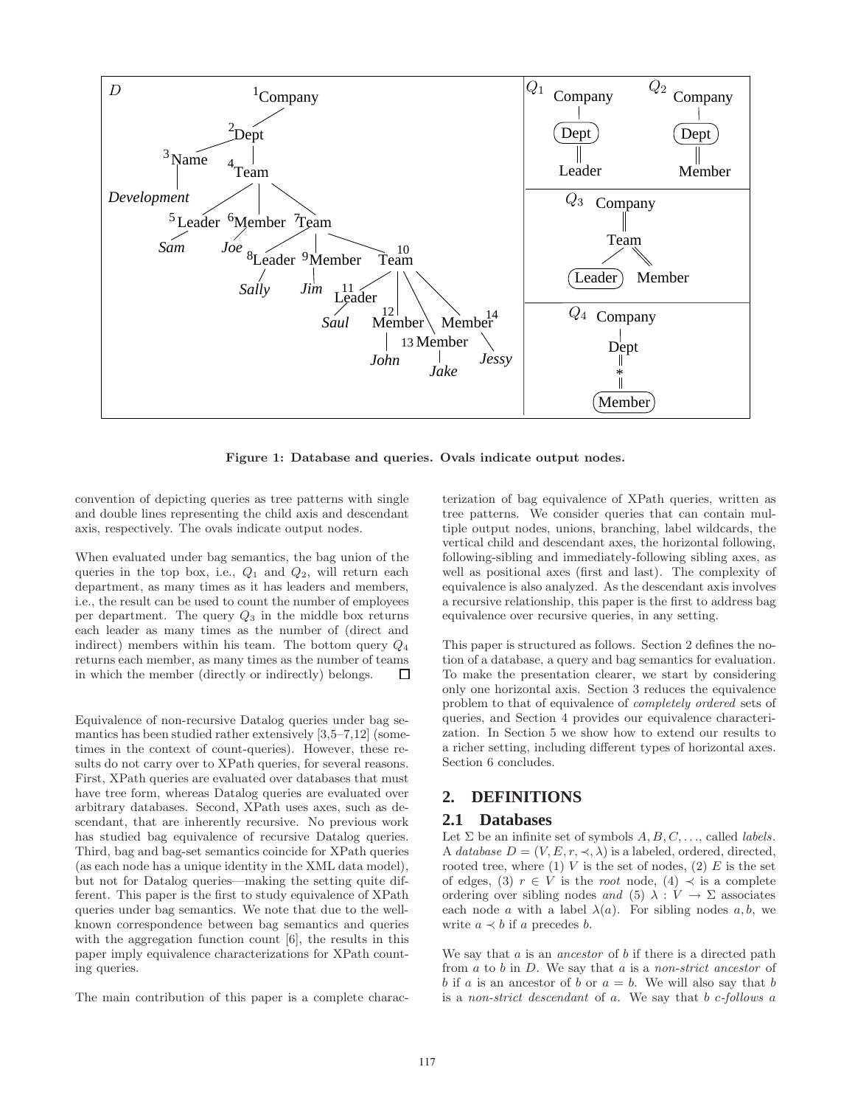

Figure 1: Database and queries. Ovals indicate output nodes.

convention of depicting queries as tree patterns with single and double lines representing the child axis and descendant axis, respectively. The ovals indicate output nodes.

When evaluated under bag semantics, the bag union of the queries in the top box, i.e.,  $Q_1$  and  $Q_2$ , will return each department, as many times as it has leaders and members, i.e., the result can be used to count the number of employees per department. The query  $Q_3$  in the middle box returns each leader as many times as the number of (direct and indirect) members within his team. The bottom query  $Q_4$ returns each member, as many times as the number of teams in which the member (directly or indirectly) belongs.  $\Box$ 

Equivalence of non-recursive Datalog queries under bag semantics has been studied rather extensively [3,5–7,12] (sometimes in the context of count-queries). However, these results do not carry over to XPath queries, for several reasons. First, XPath queries are evaluated over databases that must have tree form, whereas Datalog queries are evaluated over arbitrary databases. Second, XPath uses axes, such as descendant, that are inherently recursive. No previous work has studied bag equivalence of recursive Datalog queries. Third, bag and bag-set semantics coincide for XPath queries (as each node has a unique identity in the XML data model), but not for Datalog queries—making the setting quite different. This paper is the first to study equivalence of XPath queries under bag semantics. We note that due to the wellknown correspondence between bag semantics and queries with the aggregation function count [6], the results in this paper imply equivalence characterizations for XPath counting queries.

The main contribution of this paper is a complete charac-

terization of bag equivalence of XPath queries, written as tree patterns. We consider queries that can contain multiple output nodes, unions, branching, label wildcards, the vertical child and descendant axes, the horizontal following, following-sibling and immediately-following sibling axes, as well as positional axes (first and last). The complexity of equivalence is also analyzed. As the descendant axis involves a recursive relationship, this paper is the first to address bag equivalence over recursive queries, in any setting.

This paper is structured as follows. Section 2 defines the notion of a database, a query and bag semantics for evaluation. To make the presentation clearer, we start by considering only one horizontal axis. Section 3 reduces the equivalence problem to that of equivalence of *completely ordered* sets of queries, and Section 4 provides our equivalence characterization. In Section 5 we show how to extend our results to a richer setting, including different types of horizontal axes. Section 6 concludes.

# **2. DEFINITIONS**

#### **2.1 Databases**

Let  $\Sigma$  be an infinite set of symbols  $A, B, C, \ldots$ , called *labels*. A *database*  $D = (V, E, r, \prec, \lambda)$  is a labeled, ordered, directed, rooted tree, where  $(1)$  V is the set of nodes,  $(2)$  E is the set of edges, (3)  $r \in V$  is the *root* node, (4)  $\prec$  is a complete ordering over sibling nodes *and* (5)  $\lambda : V \to \Sigma$  associates each node a with a label  $\lambda(a)$ . For sibling nodes a, b, we write  $a \prec b$  if a precedes b.

We say that a is an *ancestor* of b if there is a directed path from a to b in D. We say that a is a *non-strict ancestor* of b if a is an ancestor of b or  $a = b$ . We will also say that b is a *non-strict descendant* of a. We say that b c*-follows* a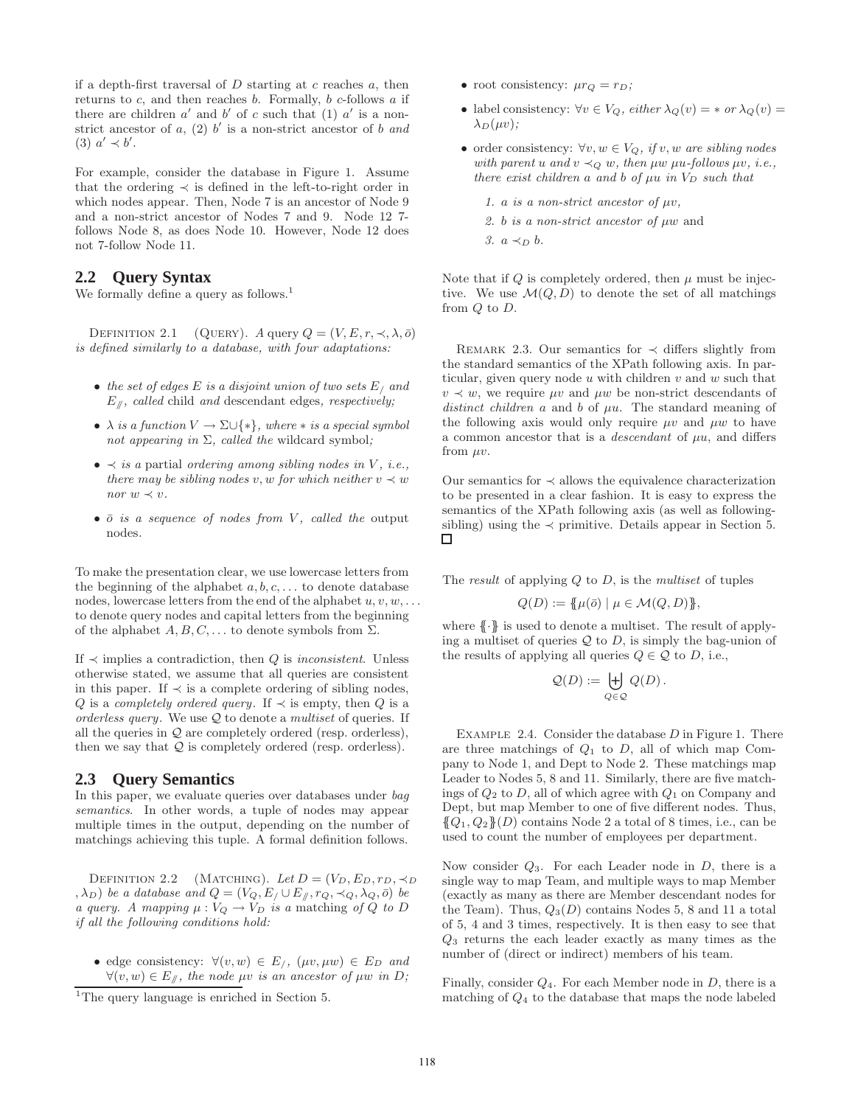if a depth-first traversal of  $D$  starting at  $c$  reaches  $a$ , then returns to  $c$ , and then reaches  $b$ . Formally,  $b$   $c$ -follows  $a$  if there are children  $a'$  and  $b'$  of c such that (1)  $a'$  is a nonstrict ancestor of  $a$ ,  $(2)$   $b'$  is a non-strict ancestor of  $b$  and (3)  $a' \prec b'$ .

For example, consider the database in Figure 1. Assume that the ordering  $\prec$  is defined in the left-to-right order in which nodes appear. Then, Node 7 is an ancestor of Node 9 and a non-strict ancestor of Nodes 7 and 9. Node 12 7 follows Node 8, as does Node 10. However, Node 12 does not 7-follow Node 11.

# **2.2 Query Syntax**

We formally define a query as follows.<sup>1</sup>

DEFINITION 2.1 (QUERY). *A* query  $Q = (V, E, r, \prec, \lambda, \bar{o})$ *is defined similarly to a database, with four adaptations:*

- *the set of edges* E *is a disjoint union of two sets* E/ *and* E//*, called* child *and* descendant edges*, respectively;*
- $\lambda$  *is a function*  $V \to \Sigma \cup \{*\}$ *, where*  $*$  *is a special symbol not appearing in* Σ*, called the* wildcard symbol*;*
- $\bullet \prec$  *is a* partial *ordering among sibling nodes in V, i.e., there may be sibling nodes* v, w *for which neither*  $v \prec w$ *nor*  $w \prec v$ .
- $\bar{o}$  *is a sequence of nodes from V, called the* output nodes*.*

To make the presentation clear, we use lowercase letters from the beginning of the alphabet  $a, b, c, \ldots$  to denote database nodes, lowercase letters from the end of the alphabet  $u, v, w, \ldots$ to denote query nodes and capital letters from the beginning of the alphabet  $A, B, C, \ldots$  to denote symbols from  $\Sigma$ .

If  $\prec$  implies a contradiction, then  $Q$  is *inconsistent*. Unless otherwise stated, we assume that all queries are consistent in this paper. If  $\prec$  is a complete ordering of sibling nodes, Q is a *completely ordered query*. If  $\prec$  is empty, then Q is a *orderless query*. We use Q to denote a *multiset* of queries. If all the queries in  $\mathcal{Q}$  are completely ordered (resp. orderless), then we say that  $\mathcal{Q}$  is completely ordered (resp. orderless).

# **2.3 Query Semantics**

In this paper, we evaluate queries over databases under *bag semantics*. In other words, a tuple of nodes may appear multiple times in the output, depending on the number of matchings achieving this tuple. A formal definition follows.

DEFINITION 2.2 (MATCHING). Let  $D = (V_D, E_D, r_D, \prec_D)$  $(\lambda_D)$  *be a database and*  $Q = (V_Q, E / \cup E_{\#}, r_Q, \prec_Q, \lambda_Q, \bar{o})$  *be a query.* A mapping  $\mu: V_Q \to V_D$  *is a* matching *of* Q *to* D *if all the following conditions hold:*

• edge consistency:  $\forall (v, w) \in E_j$ ,  $(\mu v, \mu w) \in E_D$  and  $∀(v, w) ∈ E<sub>µ</sub>$ *, the node µv is an ancestor of µw in D;* 

- root consistency:  $\mu r_Q = r_D$ ;
- label consistency:  $\forall v \in V_Q$ , either  $\lambda_Q(v) = * \text{ or } \lambda_Q(v) =$  $\lambda_D(\mu v)$ ;
- order consistency: ∀v, w ∈ VQ*, if* v, w *are sibling nodes with parent u and*  $v \prec_Q w$ *, then*  $\mu w$   $\mu u$ *-follows*  $\mu v$ *, i.e.*, *there exist children* a and b of  $\mu u$  *in*  $V_D$  *such that* 
	- *1.* a *is a non-strict ancestor of*  $\mu v$ ,
	- *2.* b *is a non-strict ancestor of* µw and
	- $3. a \prec_D b$ .

Note that if  $Q$  is completely ordered, then  $\mu$  must be injective. We use  $\mathcal{M}(Q, D)$  to denote the set of all matchings from Q to D.

REMARK 2.3. Our semantics for  $\prec$  differs slightly from the standard semantics of the XPath following axis. In particular, given query node  $u$  with children  $v$  and  $w$  such that  $v \prec w$ , we require  $\mu v$  and  $\mu w$  be non-strict descendants of *distinct children*  $\alpha$  and  $\beta$  of  $\mu\alpha$ . The standard meaning of the following axis would only require  $\mu v$  and  $\mu w$  to have a common ancestor that is a *descendant* of  $\mu u$ , and differs from  $\mu v$ .

Our semantics for  $\prec$  allows the equivalence characterization to be presented in a clear fashion. It is easy to express the semantics of the XPath following axis (as well as followingsibling) using the  $\prec$  primitive. Details appear in Section 5.  $\Box$ 

The *result* of applying Q to D, is the *multiset* of tuples

$$
Q(D) := \{ \mu(\bar{o}) \mid \mu \in \mathcal{M}(Q, D) \},
$$

where  $\{\}\}$  is used to denote a multiset. The result of applying a multiset of queries  $Q$  to  $D$ , is simply the bag-union of the results of applying all queries  $Q \in \mathcal{Q}$  to D, i.e.,

$$
\mathcal{Q}(D) := \biguplus_{Q \in \mathcal{Q}} Q(D).
$$

EXAMPLE 2.4. Consider the database  $D$  in Figure 1. There are three matchings of  $Q_1$  to  $D$ , all of which map Company to Node 1, and Dept to Node 2. These matchings map Leader to Nodes 5, 8 and 11. Similarly, there are five matchings of  $Q_2$  to D, all of which agree with  $Q_1$  on Company and Dept, but map Member to one of five different nodes. Thus,  ${Q_1, Q_2}(D)$  contains Node 2 a total of 8 times, i.e., can be used to count the number of employees per department.

Now consider  $Q_3$ . For each Leader node in D, there is a single way to map Team, and multiple ways to map Member (exactly as many as there are Member descendant nodes for the Team). Thus,  $Q_3(D)$  contains Nodes 5, 8 and 11 a total of 5, 4 and 3 times, respectively. It is then easy to see that  $Q_3$  returns the each leader exactly as many times as the number of (direct or indirect) members of his team.

Finally, consider  $Q_4$ . For each Member node in  $D$ , there is a matching of  $Q_4$  to the database that maps the node labeled

<sup>&</sup>lt;sup>1</sup>The query language is enriched in Section 5.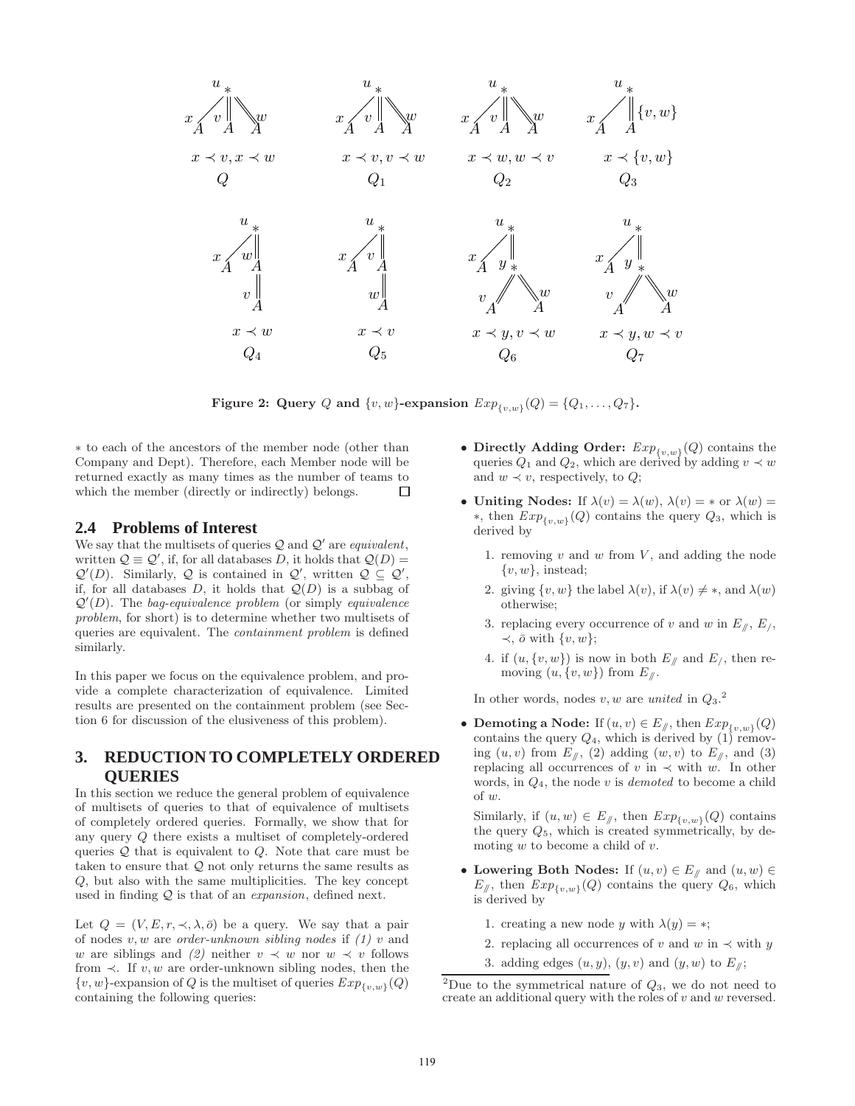

Figure 2: Query Q and  $\{v, w\}$ -expansion  $Exp_{\{v, w\}}(Q) = \{Q_1, \ldots, Q_7\}.$ 

∗ to each of the ancestors of the member node (other than Company and Dept). Therefore, each Member node will be returned exactly as many times as the number of teams to which the member (directly or indirectly) belongs.  $\square$ which the member (directly or indirectly) belongs.

#### **2.4 Problems of Interest**

We say that the multisets of queries  $Q$  and  $Q'$  are *equivalent*, written  $\mathcal{Q} \equiv \mathcal{Q}'$ , if, for all databases D, it holds that  $\mathcal{Q}(D) =$  $\mathcal{Q}'(D)$ . Similarly,  $\mathcal{Q}$  is contained in  $\mathcal{Q}'$ , written  $\mathcal{Q} \subseteq \mathcal{Q}'$ , if, for all databases  $D$ , it holds that  $\mathcal{Q}(D)$  is a subbag of Q ′ (D). The *bag-equivalence problem* (or simply *equivalence problem*, for short) is to determine whether two multisets of queries are equivalent. The *containment problem* is defined similarly.

In this paper we focus on the equivalence problem, and provide a complete characterization of equivalence. Limited results are presented on the containment problem (see Section 6 for discussion of the elusiveness of this problem).

# **3. REDUCTION TO COMPLETELY ORDERED QUERIES**

In this section we reduce the general problem of equivalence of multisets of queries to that of equivalence of multisets of completely ordered queries. Formally, we show that for any query Q there exists a multiset of completely-ordered queries  $Q$  that is equivalent to  $Q$ . Note that care must be taken to ensure that  $Q$  not only returns the same results as Q, but also with the same multiplicities. The key concept used in finding Q is that of an *expansion*, defined next.

Let  $Q = (V, E, r, \prec, \lambda, \bar{o})$  be a query. We say that a pair of nodes v, w are *order-unknown sibling nodes* if *(1)* v and w are siblings and (2) neither  $v \prec w$  nor  $w \prec v$  follows from  $\prec$ . If v, w are order-unknown sibling nodes, then the  $\{v, w\}$ -expansion of Q is the multiset of queries  $Exp_{\{v,w\}}(Q)$ containing the following queries:

- Directly Adding Order:  $Exp_{\{v,w\}}(Q)$  contains the queries  $Q_1$  and  $Q_2$ , which are derived by adding  $v \prec w$ and  $w \prec v$ , respectively, to  $Q$ ;
- Uniting Nodes: If  $\lambda(v) = \lambda(w)$ ,  $\lambda(v) = *$  or  $\lambda(w) =$  $*$ , then  $Exp_{\{v,w\}}(Q)$  contains the query  $Q_3$ , which is derived by
	- 1. removing  $v$  and  $w$  from  $V$ , and adding the node  $\{v, w\}$ , instead;
	- 2. giving  $\{v, w\}$  the label  $\lambda(v)$ , if  $\lambda(v) \neq *$ , and  $\lambda(w)$ otherwise;
	- 3. replacing every occurrence of v and w in  $E_{\parallel}$ ,  $E_{\parallel}$ ,  $\prec$ ,  $\bar{\sigma}$  with  $\{v, w\};$
	- 4. if  $(u, \{v, w\})$  is now in both  $E_{\ell}$  and  $E_{\ell}$ , then removing  $(u, \{v, w\})$  from  $E_{\#}$ .

In other words, nodes  $v, w$  are *united* in  $Q_3$ <sup>2</sup>.

• Demoting a Node: If  $(u, v) \in E_{\mathcal{J}}$ , then  $Exp_{\{v, w\}}(Q)$ contains the query  $Q_4$ , which is derived by (1) removing  $(u, v)$  from  $E_{\parallel}$ , (2) adding  $(w, v)$  to  $E_{\parallel}$ , and (3) replacing all occurrences of v in  $\prec$  with w. In other words, in Q4, the node v is *demoted* to become a child of w.

Similarly, if  $(u, w) \in E_{\mathcal{N}}$ , then  $Exp_{\{v,w\}}(Q)$  contains the query  $Q_5$ , which is created symmetrically, by demoting  $w$  to become a child of  $v$ .

- Lowering Both Nodes: If  $(u, v) \in E_{\mathcal{N}}$  and  $(u, w) \in E_{\mathcal{N}}$  $E_{\parallel}$ , then  $Exp_{\lbrace v,w \rbrace}(Q)$  contains the query  $Q_6$ , which is derived by
	- 1. creating a new node y with  $\lambda(y) = *;$
	- 2. replacing all occurrences of v and w in  $\prec$  with y
	- 3. adding edges  $(u, y)$ ,  $(y, v)$  and  $(y, w)$  to  $E_{\#}$ ;

<sup>&</sup>lt;sup>2</sup>Due to the symmetrical nature of  $Q_3$ , we do not need to create an additional query with the roles of  $v$  and  $w$  reversed.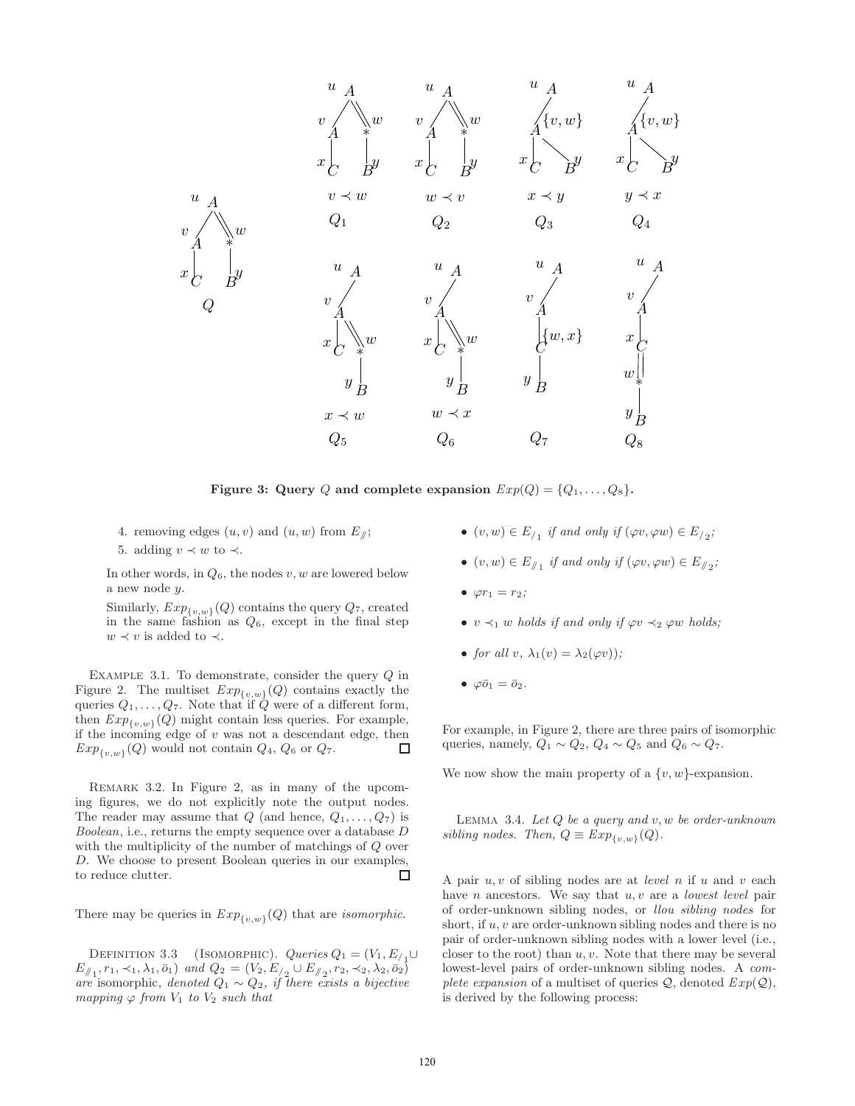

Figure 3: Query Q and complete expansion  $Exp(Q) = \{Q_1, \ldots, Q_8\}.$ 

- 4. removing edges  $(u, v)$  and  $(u, w)$  from  $E_{\ell}$ ;
- 5. adding  $v \prec w$  to  $\prec$ .

In other words, in  $Q_6$ , the nodes  $v, w$  are lowered below a new node y.

Similarly,  $Exp_{\{v,w\}}(Q)$  contains the query  $Q_7$ , created in the same fashion as  $Q_6$ , except in the final step  $w \prec v$  is added to  $\prec$ .

EXAMPLE 3.1. To demonstrate, consider the query  $Q$  in Figure 2. The multiset  $Exp_{\{v,w\}}(Q)$  contains exactly the queries  $Q_1, \ldots, Q_7$ . Note that if  $\dot{Q}$  were of a different form, then  $Exp_{\{v,w\}}(Q)$  might contain less queries. For example, if the incoming edge of  $v$  was not a descendant edge, then  $Exp_{\{v,w\}}(Q)$  would not contain  $Q_4$ ,  $Q_6$  or  $Q_7$ . □

Remark 3.2. In Figure 2, as in many of the upcoming figures, we do not explicitly note the output nodes. The reader may assume that  $Q$  (and hence,  $Q_1, \ldots, Q_7$ ) is *Boolean*, i.e., returns the empty sequence over a database D with the multiplicity of the number of matchings of  $Q$  over D. We choose to present Boolean queries in our examples, □ to reduce clutter.

There may be queries in  $Exp_{\{v,w\}}(Q)$  that are *isomorphic*.

DEFINITION 3.3 (ISOMORPHIC).  $Queries Q_1 = (V_1, E_{1,1})$  $E_{\nparallel_1}, r_1, \prec_1, \lambda_1, \bar{o}_1)$  and  $Q_2 = (V_2, E_{\nparallel_2}, V_2, \prec_2, \lambda_2, \bar{o}_2)$ *are* isomorphic, denoted  $Q_1 \sim Q_2$ , if there exists a bijective *mapping*  $\varphi$  *from*  $V_1$  *to*  $V_2$  *such that* 

- $(v, w) \in E_{/1}$  *if and only if*  $(\varphi v, \varphi w) \in E_{/2}$ ;
- $(v, w) \in E_{\mathcal{N}_1}$  *if and only if*  $(\varphi v, \varphi w) \in E_{\mathcal{N}_2}$ *;*
- $\varphi r_1 = r_2$ ;
- $v \prec_1 w$  *holds if and only if*  $\varphi v \prec_2 \varphi w$  *holds;*
- *for all* v,  $\lambda_1(v) = \lambda_2(\varphi v)$ ;
- $\varphi \bar{\omicron}_1 = \bar{\omicron}_2$ .

For example, in Figure 2, there are three pairs of isomorphic queries, namely,  $Q_1 \sim Q_2$ ,  $Q_4 \sim Q_5$  and  $Q_6 \sim Q_7$ .

We now show the main property of a  $\{v, w\}$ -expansion.

Lemma 3.4. *Let* Q *be a query and* v, w *be order-unknown sibling nodes.* Then,  $Q \equiv Exp_{\{v,w\}}(Q)$ .

A pair u, v of sibling nodes are at *level* n if u and v each have *n* ancestors. We say that *u*, *v* are a *lowest level* pair of order-unknown sibling nodes, or *llou sibling nodes* for short, if  $u, v$  are order-unknown sibling nodes and there is no pair of order-unknown sibling nodes with a lower level (i.e., closer to the root) than  $u, v$ . Note that there may be several lowest-level pairs of order-unknown sibling nodes. A *complete expansion* of a multiset of queries  $Q$ , denoted  $Exp(Q)$ , is derived by the following process: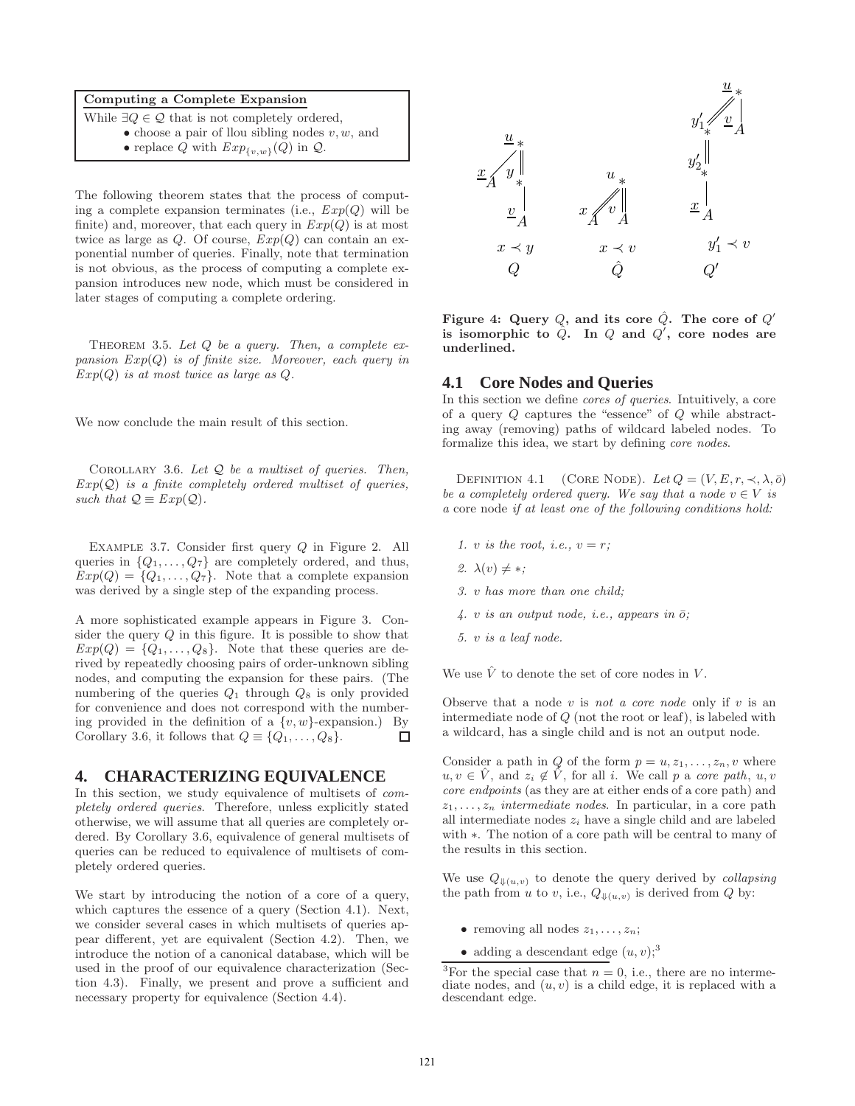# Computing a Complete Expansion

The following theorem states that the process of computing a complete expansion terminates (i.e.,  $Exp(Q)$ ) will be finite) and, moreover, that each query in  $Exp(Q)$  is at most twice as large as Q. Of course, *E*xp(Q) can contain an exponential number of queries. Finally, note that termination is not obvious, as the process of computing a complete expansion introduces new node, which must be considered in later stages of computing a complete ordering.

Theorem 3.5. *Let* Q *be a query. Then, a complete expansion E*xp(Q) *is of finite size. Moreover, each query in E*xp(Q) *is at most twice as large as* Q*.*

We now conclude the main result of this section.

Corollary 3.6. *Let* Q *be a multiset of queries. Then, E*xp(Q) *is a finite completely ordered multiset of queries, such that*  $Q \equiv Exp(Q)$ *.* 

Example 3.7. Consider first query Q in Figure 2. All queries in  $\{Q_1, \ldots, Q_7\}$  are completely ordered, and thus,  $Exp(Q) = \{Q_1, \ldots, Q_7\}.$  Note that a complete expansion was derived by a single step of the expanding process.

A more sophisticated example appears in Figure 3. Consider the query  $Q$  in this figure. It is possible to show that  $Exp(Q) = \{Q_1, \ldots, Q_8\}$ . Note that these queries are derived by repeatedly choosing pairs of order-unknown sibling nodes, and computing the expansion for these pairs. (The numbering of the queries  $Q_1$  through  $Q_8$  is only provided for convenience and does not correspond with the numbering provided in the definition of a  $\{v, w\}$ -expansion.) By Corollary 3.6, it follows that  $Q \equiv \{Q_1, \ldots, Q_8\}.$  $\Box$ 

# **4. CHARACTERIZING EQUIVALENCE**

In this section, we study equivalence of multisets of *completely ordered queries*. Therefore, unless explicitly stated otherwise, we will assume that all queries are completely ordered. By Corollary 3.6, equivalence of general multisets of queries can be reduced to equivalence of multisets of completely ordered queries.

We start by introducing the notion of a core of a query, which captures the essence of a query (Section 4.1). Next, we consider several cases in which multisets of queries appear different, yet are equivalent (Section 4.2). Then, we introduce the notion of a canonical database, which will be used in the proof of our equivalence characterization (Section 4.3). Finally, we present and prove a sufficient and necessary property for equivalence (Section 4.4).



Figure 4: Query  $Q$ , and its core  $\hat{Q}$ . The core of  $Q'$ is isomorphic to  $\hat{Q}$ . In  $Q$  and  $Q'$ , core nodes are underlined.

### **4.1 Core Nodes and Queries**

In this section we define *cores of queries*. Intuitively, a core of a query Q captures the "essence" of Q while abstracting away (removing) paths of wildcard labeled nodes. To formalize this idea, we start by defining *core nodes*.

DEFINITION 4.1 (CORE NODE). Let  $Q = (V, E, r, \prec, \lambda, \bar{o})$ *be a completely ordered query. We say that a node*  $v \in V$  *is a* core node *if at least one of the following conditions hold:*

- *1. v is the root, i.e.,*  $v = r$ ;
- 2.  $\lambda(v) \neq *$ ;
- *3.* v *has more than one child;*
- $4. v$  *is an output node, i.e., appears in*  $\overline{o}$ *;*
- *5.* v *is a leaf node.*

We use  $\hat{V}$  to denote the set of core nodes in V.

Observe that a node v is *not a core node* only if v is an intermediate node of Q (not the root or leaf), is labeled with a wildcard, has a single child and is not an output node.

Consider a path in Q of the form  $p = u, z_1, \ldots, z_n, v$  where  $u, v \in \hat{V}$ , and  $z_i \notin \hat{V}$ , for all i. We call p a *core path*,  $u, v$ *core endpoints* (as they are at either ends of a core path) and  $z_1, \ldots, z_n$  *intermediate nodes*. In particular, in a core path all intermediate nodes  $z_i$  have a single child and are labeled with ∗. The notion of a core path will be central to many of the results in this section.

We use  $Q_{\Downarrow(u,v)}$  to denote the query derived by *collapsing* the path from u to v, i.e.,  $Q_{\Downarrow(u,v)}$  is derived from Q by:

- removing all nodes  $z_1, \ldots, z_n$ ;
- adding a descendant edge  $(u, v);$ <sup>3</sup>

While  $\exists Q \in \mathcal{Q}$  that is not completely ordered,

<sup>•</sup> choose a pair of llou sibling nodes  $v, w$ , and

<sup>•</sup> replace Q with  $Exp_{\{v,w\}}(Q)$  in  $Q$ .

<sup>&</sup>lt;sup>3</sup>For the special case that  $n = 0$ , i.e., there are no intermediate nodes, and  $(u, v)$  is a child edge, it is replaced with a descendant edge.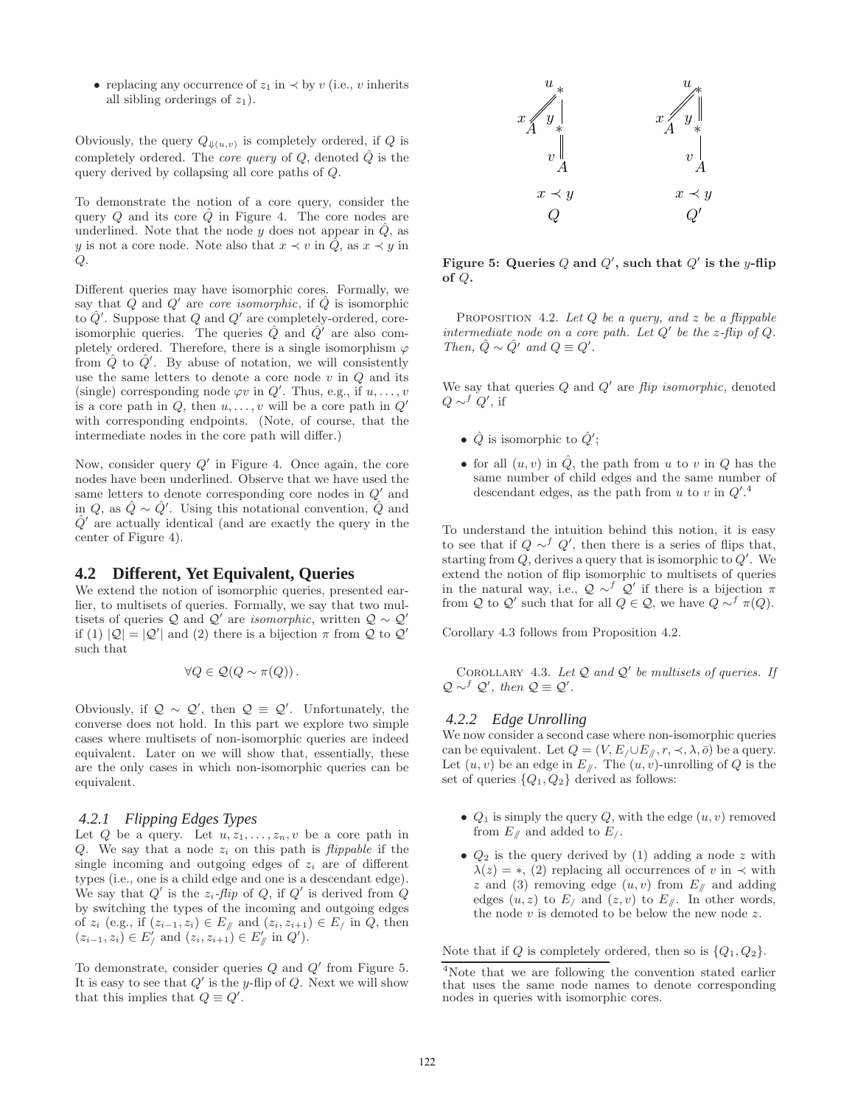• replacing any occurrence of  $z_1$  in  $\prec$  by v (i.e., v inherits all sibling orderings of  $z_1$ ).

Obviously, the query  $Q_{\Downarrow(u,v)}$  is completely ordered, if Q is completely ordered. The *core query* of  $Q$ , denoted  $\tilde{Q}$  is the query derived by collapsing all core paths of Q.

To demonstrate the notion of a core query, consider the query  $Q$  and its core  $Q$  in Figure 4. The core nodes are underlined. Note that the node y does not appear in  $\hat{Q}$ , as y is not a core node. Note also that  $x \prec v$  in  $\hat{Q}$ , as  $x \prec y$  in  $Q$ .

Different queries may have isomorphic cores. Formally, we say that  $\hat{Q}$  and  $Q'$  are *core isomorphic*, if  $\hat{Q}$  is isomorphic to  $\hat{Q}'$ . Suppose that Q and Q' are completely-ordered, coreisomorphic queries. The queries  $\hat{Q}$  and  $\hat{Q}'$  are also completely ordered. Therefore, there is a single isomorphism  $\varphi$ from  $\hat{Q}$  to  $\hat{Q}'$ . By abuse of notation, we will consistently use the same letters to denote a core node  $v$  in  $Q$  and its (single) corresponding node  $\varphi v$  in  $Q'$ . Thus, e.g., if  $u, \ldots, v$ is a core path in  $Q$ , then  $u, \ldots, v$  will be a core path in  $Q'$ with corresponding endpoints. (Note, of course, that the intermediate nodes in the core path will differ.)

Now, consider query  $Q'$  in Figure 4. Once again, the core nodes have been underlined. Observe that we have used the same letters to denote corresponding core nodes in  $Q'$  and in  $Q$ , as  $\hat{Q} \sim \hat{Q}'$ . Using this notational convention,  $\hat{Q}$  and  $\hat{Q}'$  are actually identical (and are exactly the query in the center of Figure 4).

### **4.2 Different, Yet Equivalent, Queries**

We extend the notion of isomorphic queries, presented earlier, to multisets of queries. Formally, we say that two multisets of queries  $\mathcal{Q}$  and  $\mathcal{Q}'$  are *isomorphic*, written  $\mathcal{Q} \sim \mathcal{Q}'$ if (1)  $|Q| = |Q'|$  and (2) there is a bijection  $\pi$  from Q to Q' such that

$$
\forall Q \in \mathcal{Q}(Q \sim \pi(Q)).
$$

Obviously, if  $\mathcal{Q} \sim \mathcal{Q}'$ , then  $\mathcal{Q} \equiv \mathcal{Q}'$ . Unfortunately, the converse does not hold. In this part we explore two simple cases where multisets of non-isomorphic queries are indeed equivalent. Later on we will show that, essentially, these are the only cases in which non-isomorphic queries can be equivalent.

#### *4.2.1 Flipping Edges Types*

Let Q be a query. Let  $u, z_1, \ldots, z_n, v$  be a core path in Q. We say that a node  $z_i$  on this path is *flippable* if the single incoming and outgoing edges of  $z<sub>i</sub>$  are of different types (i.e., one is a child edge and one is a descendant edge). We say that  $Q'$  is the  $z_i$ -flip of  $Q$ , if  $Q'$  is derived from  $Q$ by switching the types of the incoming and outgoing edges of  $z_i$  (e.g., if  $(z_{i-1}, z_i) \in E_{\mathcal{N}}$  and  $(z_i, z_{i+1}) \in E_{\mathcal{N}}$  in  $Q$ , then  $(z_{i-1}, z_i) \in E'_{\!/}$  and  $(z_i, z_{i+1}) \in E'_{\!/}$  in  $Q'$ ).

To demonstrate, consider queries  $Q$  and  $Q'$  from Figure 5. It is easy to see that  $Q'$  is the y-flip of Q. Next we will show that this implies that  $Q \equiv Q'$ .



Figure 5: Queries Q and  $Q'$ , such that  $Q'$  is the y-flip  $of O.$ 

Proposition 4.2. *Let* Q *be a query, and* z *be a flippable intermediate node on a core path. Let*  $Q'$  *be the z-flip of*  $Q$ *. Then,*  $\hat{Q} \sim \hat{Q}'$  *and*  $Q \equiv Q'$ *.* 

We say that queries  $Q$  and  $Q'$  are  $flip$  isomorphic, denoted  $Q \sim^f Q'$ , if

- $\hat{Q}$  is isomorphic to  $\hat{Q}'$ ;
- for all  $(u, v)$  in  $\hat{Q}$ , the path from u to v in Q has the same number of child edges and the same number of descendant edges, as the path from u to v in  $Q'$ .<sup>4</sup>

To understand the intuition behind this notion, it is easy to see that if  $Q \sim^f Q'$ , then there is a series of flips that, starting from  $Q$ , derives a query that is isomorphic to  $Q'$ . We extend the notion of flip isomorphic to multisets of queries in the natural way, i.e.,  $Q \sim^f Q'$  if there is a bijection  $\pi$ from Q to Q' such that for all  $Q \in \mathcal{Q}$ , we have  $Q \sim^f \pi(Q)$ .

Corollary 4.3 follows from Proposition 4.2.

COROLLARY 4.3. Let  $Q$  and  $Q'$  be multisets of queries. If  $\mathcal{Q} \sim^f \mathcal{Q}'$ , then  $\mathcal{Q} \equiv \mathcal{Q}'$ .

#### *4.2.2 Edge Unrolling*

We now consider a second case where non-isomorphic queries can be equivalent. Let  $Q = (V, E/\cup E_{\#}, r, \prec, \lambda, \bar{o})$  be a query. Let  $(u, v)$  be an edge in  $E_{\ell}$ . The  $(u, v)$ -unrolling of Q is the set of queries  $\{Q_1, Q_2\}$  derived as follows:

- $Q_1$  is simply the query  $Q$ , with the edge  $(u, v)$  removed from  $E_{\ell}$  and added to  $E_{\ell}$ .
- $Q_2$  is the query derived by (1) adding a node z with  $\lambda(z) = *$ , (2) replacing all occurrences of v in  $\prec$  with z and (3) removing edge  $(u, v)$  from  $E_{\ell}$  and adding edges  $(u, z)$  to  $E_{\ell}$  and  $(z, v)$  to  $E_{\ell}$ . In other words, the node  $v$  is demoted to be below the new node  $z$ .

Note that if Q is completely ordered, then so is  $\{Q_1, Q_2\}$ .

<sup>4</sup>Note that we are following the convention stated earlier that uses the same node names to denote corresponding nodes in queries with isomorphic cores.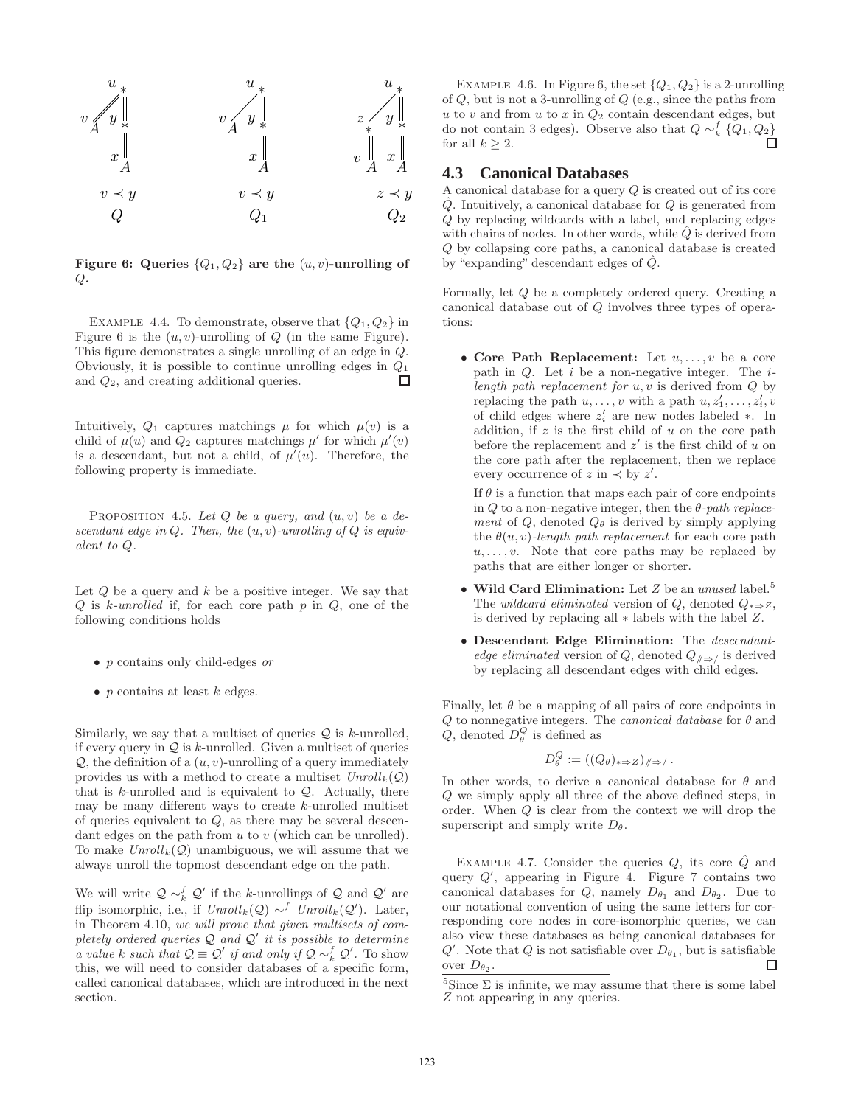

Figure 6: Queries  $\{Q_1, Q_2\}$  are the  $(u, v)$ -unrolling of  $Q_{\bullet}$ 

EXAMPLE 4.4. To demonstrate, observe that  $\{Q_1, Q_2\}$  in Figure 6 is the  $(u, v)$ -unrolling of  $Q$  (in the same Figure). This figure demonstrates a single unrolling of an edge in Q. Obviously, it is possible to continue unrolling edges in  $Q_1$  $\Box$ and Q2, and creating additional queries.

Intuitively,  $Q_1$  captures matchings  $\mu$  for which  $\mu(v)$  is a child of  $\mu(u)$  and  $Q_2$  captures matchings  $\mu'$  for which  $\mu'(v)$ is a descendant, but not a child, of  $\mu'(u)$ . Therefore, the following property is immediate.

PROPOSITION 4.5. Let  $Q$  be a query, and  $(u, v)$  be a de*scendant edge in* Q*. Then, the* (u, v)*-unrolling of* Q *is equivalent to* Q*.*

Let  $Q$  be a query and  $k$  be a positive integer. We say that Q is k*-unrolled* if, for each core path p in Q, one of the following conditions holds

- p contains only child-edges *or*
- $p$  contains at least  $k$  edges.

Similarly, we say that a multiset of queries  $\mathcal Q$  is k-unrolled, if every query in  $\mathcal Q$  is k-unrolled. Given a multiset of queries  $Q$ , the definition of a  $(u, v)$ -unrolling of a query immediately provides us with a method to create a multiset  $Unroll_k(Q)$ that is  $k$ -unrolled and is equivalent to  $Q$ . Actually, there may be many different ways to create k-unrolled multiset of queries equivalent to  $Q$ , as there may be several descendant edges on the path from  $u$  to  $v$  (which can be unrolled). To make  $Unroll_k(Q)$  unambiguous, we will assume that we always unroll the topmost descendant edge on the path.

We will write  $\mathcal{Q} \sim_k^f \mathcal{Q}'$  if the k-unrollings of  $\mathcal{Q}$  and  $\mathcal{Q}'$  are flip isomorphic, i.e., if  $Unroll_k(Q) \sim^f Unroll_k(Q')$ . Later, in Theorem 4.10, *we will prove that given multisets of completely ordered queries* Q *and* Q ′ *it is possible to determine a value* k *such that*  $Q \equiv Q'$  *if and only if*  $Q \sim_k^f Q'$ . To show this, we will need to consider databases of a specific form, called canonical databases, which are introduced in the next section.

EXAMPLE 4.6. In Figure 6, the set  $\{Q_1, Q_2\}$  is a 2-unrolling of  $Q$ , but is not a 3-unrolling of  $Q$  (e.g., since the paths from  $u$  to  $v$  and from  $u$  to  $x$  in  $Q_2$  contain descendant edges, but do not contain 3 edges). Observe also that  $Q \sim_k^f \{Q_1, Q_2\}$ for all  $k > 2$ .  $\Box$ 

#### **4.3 Canonical Databases**

A canonical database for a query Q is created out of its core  $\hat{Q}$ . Intuitively, a canonical database for  $Q$  is generated from  $\hat{Q}$  by replacing wildcards with a label, and replacing edges with chains of nodes. In other words, while  $\hat{Q}$  is derived from Q by collapsing core paths, a canonical database is created by "expanding" descendant edges of  $\hat{Q}$ .

Formally, let Q be a completely ordered query. Creating a canonical database out of Q involves three types of operations:

• Core Path Replacement: Let  $u, \ldots, v$  be a core path in Q. Let i be a non-negative integer. The i*length path replacement for* u, v is derived from Q by replacing the path  $u, \ldots, v$  with a path  $u, z'_1, \ldots, z'_i, v$ of child edges where  $z'_i$  are new nodes labeled  $*$ . In addition, if  $z$  is the first child of  $u$  on the core path before the replacement and  $z'$  is the first child of  $u$  on the core path after the replacement, then we replace every occurrence of  $z$  in  $\prec$  by  $z'$ .

If  $\theta$  is a function that maps each pair of core endpoints in Q to a non-negative integer, then the θ*-path replacement* of  $Q$ , denoted  $Q_{\theta}$  is derived by simply applying the  $\theta(u, v)$ *-length path replacement* for each core path  $u, \ldots, v$ . Note that core paths may be replaced by paths that are either longer or shorter.

- Wild Card Elimination: Let Z be an *unused* label.<sup>5</sup> The *wildcard eliminated* version of Q, denoted  $Q_{\ast \Rightarrow Z}$ , is derived by replacing all ∗ labels with the label Z.
- Descendant Edge Elimination: The *descendantedge eliminated* version of Q, denoted  $Q_{\ell} \rightarrow$  is derived by replacing all descendant edges with child edges.

Finally, let  $\theta$  be a mapping of all pairs of core endpoints in Q to nonnegative integers. The *canonical database* for θ and Q, denoted  $D_{\theta}^{Q}$  is defined as

$$
D_{\theta}^{Q} := ((Q_{\theta})_{\ast \Rightarrow Z})_{/\!\!/ \Rightarrow /}.
$$

In other words, to derive a canonical database for  $\theta$  and Q we simply apply all three of the above defined steps, in order. When Q is clear from the context we will drop the superscript and simply write  $D_{\theta}$ .

EXAMPLE 4.7. Consider the queries  $Q$ , its core  $\hat{Q}$  and query  $Q'$ , appearing in Figure 4. Figure 7 contains two canonical databases for  $Q$ , namely  $D_{\theta_1}$  and  $D_{\theta_2}$ . Due to our notational convention of using the same letters for corresponding core nodes in core-isomorphic queries, we can also view these databases as being canonical databases for  $Q'$ . Note that Q is not satisfiable over  $D_{\theta_1}$ , but is satisfiable over  $D_{\theta_2}$ . П

<sup>&</sup>lt;sup>5</sup>Since  $\Sigma$  is infinite, we may assume that there is some label Z not appearing in any queries.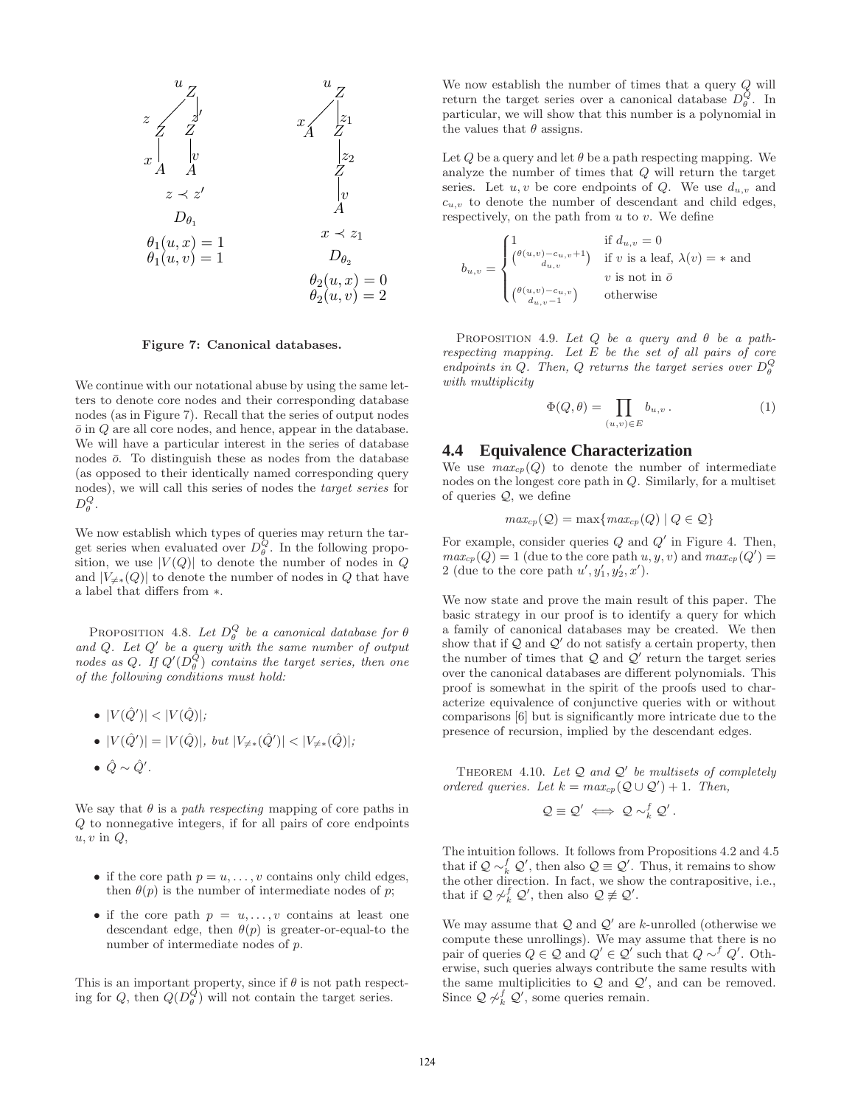

Figure 7: Canonical databases.

We continue with our notational abuse by using the same letters to denote core nodes and their corresponding database nodes (as in Figure 7). Recall that the series of output nodes  $\bar{o}$  in  $Q$  are all core nodes, and hence, appear in the database. We will have a particular interest in the series of database nodes  $\bar{o}$ . To distinguish these as nodes from the database (as opposed to their identically named corresponding query nodes), we will call this series of nodes the *target series* for  $D^Q_\theta$ .

We now establish which types of queries may return the target series when evaluated over  $D_{\theta}^{\overline{Q}}$ . In the following proposition, we use  $|V(Q)|$  to denote the number of nodes in Q and  $|V_{\neq *}(\mathcal{Q})|$  to denote the number of nodes in  $\mathcal Q$  that have a label that differs from ∗.

PROPOSITION 4.8. Let  $D_{\theta}^Q$  be a canonical database for  $\theta$ *and* Q*. Let* Q ′ *be a query with the same number of output nodes as* Q. If  $Q'(D_{\theta}^{\overline{Q}})$  *contains the target series, then one of the following conditions must hold:*

$$
\bullet \ |V(\hat{Q}')| < |V(\hat{Q})|;
$$

• 
$$
|V(\hat{Q}')| = |V(\hat{Q})|
$$
, but  $|V_{\neq *}(\hat{Q}')| < |V_{\neq *}(\hat{Q})|$ ;

• 
$$
\hat{Q} \sim \hat{Q}'
$$
.

We say that  $\theta$  is a *path respecting* mapping of core paths in Q to nonnegative integers, if for all pairs of core endpoints  $u, v$  in  $Q$ ,

- if the core path  $p = u, \ldots, v$  contains only child edges, then  $\theta(p)$  is the number of intermediate nodes of p;
- if the core path  $p = u, \ldots, v$  contains at least one descendant edge, then  $\theta(p)$  is greater-or-equal-to the number of intermediate nodes of p.

This is an important property, since if  $\theta$  is not path respecting for Q, then  $Q(D_{\theta}^{Q})$  will not contain the target series.

We now establish the number of times that a query Q will return the target series over a canonical database  $D_{\theta}^{\hat{Q}}$ . In particular, we will show that this number is a polynomial in the values that  $\theta$  assigns.

Let Q be a query and let  $\theta$  be a path respecting mapping. We analyze the number of times that Q will return the target series. Let  $u, v$  be core endpoints of Q. We use  $d_{u,v}$  and  $c_{u,v}$  to denote the number of descendant and child edges, respectively, on the path from  $u$  to  $v$ . We define

$$
b_{u,v} = \begin{cases} 1 & \text{if } d_{u,v} = 0 \\ \binom{\theta(u,v) - c_{u,v} + 1}{d_{u,v}} & \text{if } v \text{ is a leaf, } \lambda(v) = * \text{ and} \\ v \text{ is not in } \bar{o} \\ \binom{\theta(u,v) - c_{u,v}}{d_{u,v} - 1} & \text{otherwise} \end{cases}
$$

Proposition 4.9. *Let* Q *be a query and* θ *be a pathrespecting mapping. Let* E *be the set of all pairs of core endpoints in Q. Then, Q returns the target series over*  $D_{\theta}^{Q}$ *with multiplicity*

$$
\Phi(Q,\theta) = \prod_{(u,v)\in E} b_{u,v} . \tag{1}
$$

#### **4.4 Equivalence Characterization**

We use  $max_{cp}(Q)$  to denote the number of intermediate nodes on the longest core path in Q. Similarly, for a multiset of queries  $Q$ , we define

$$
max_{cp}(\mathcal{Q}) = \max\{max_{cp}(Q) | Q \in \mathcal{Q}\}\
$$

For example, consider queries  $Q$  and  $Q'$  in Figure 4. Then,  $max_{cp}(Q) = 1$  (due to the core path  $u, y, v$ ) and  $max_{cp}(Q') = 1$ 2 (due to the core path  $u', y_1', y_2', x'$ ).

We now state and prove the main result of this paper. The basic strategy in our proof is to identify a query for which a family of canonical databases may be created. We then show that if  $Q$  and  $Q'$  do not satisfy a certain property, then the number of times that  $Q$  and  $Q'$  return the target series over the canonical databases are different polynomials. This proof is somewhat in the spirit of the proofs used to characterize equivalence of conjunctive queries with or without comparisons [6] but is significantly more intricate due to the presence of recursion, implied by the descendant edges.

Theorem 4.10. *Let* Q *and* Q ′ *be multisets of completely ordered queries.* Let  $k = max_{cp} (Q \cup Q') + 1$ . Then,

$$
\mathcal{Q} \equiv \mathcal{Q}' \iff \mathcal{Q} \sim_k^f \mathcal{Q}'.
$$

The intuition follows. It follows from Propositions 4.2 and 4.5 that if  $\mathcal{Q} \sim_k^f \mathcal{Q}'$ , then also  $\mathcal{Q} \equiv \mathcal{Q}'$ . Thus, it remains to show the other direction. In fact, we show the contrapositive, i.e., that if  $\mathcal{Q} \not\sim_k^f \mathcal{Q}'$ , then also  $\mathcal{Q} \not\equiv \mathcal{Q}'$ .

We may assume that  $\mathcal Q$  and  $\mathcal Q'$  are k-unrolled (otherwise we compute these unrollings). We may assume that there is no pair of queries  $Q \in \mathcal{Q}$  and  $Q' \in \mathcal{Q}'$  such that  $Q \sim^f Q'$ . Otherwise, such queries always contribute the same results with the same multiplicities to  $Q$  and  $Q'$ , and can be removed. Since  $\mathcal{Q} \not\sim_k^f \mathcal{Q}'$ , some queries remain.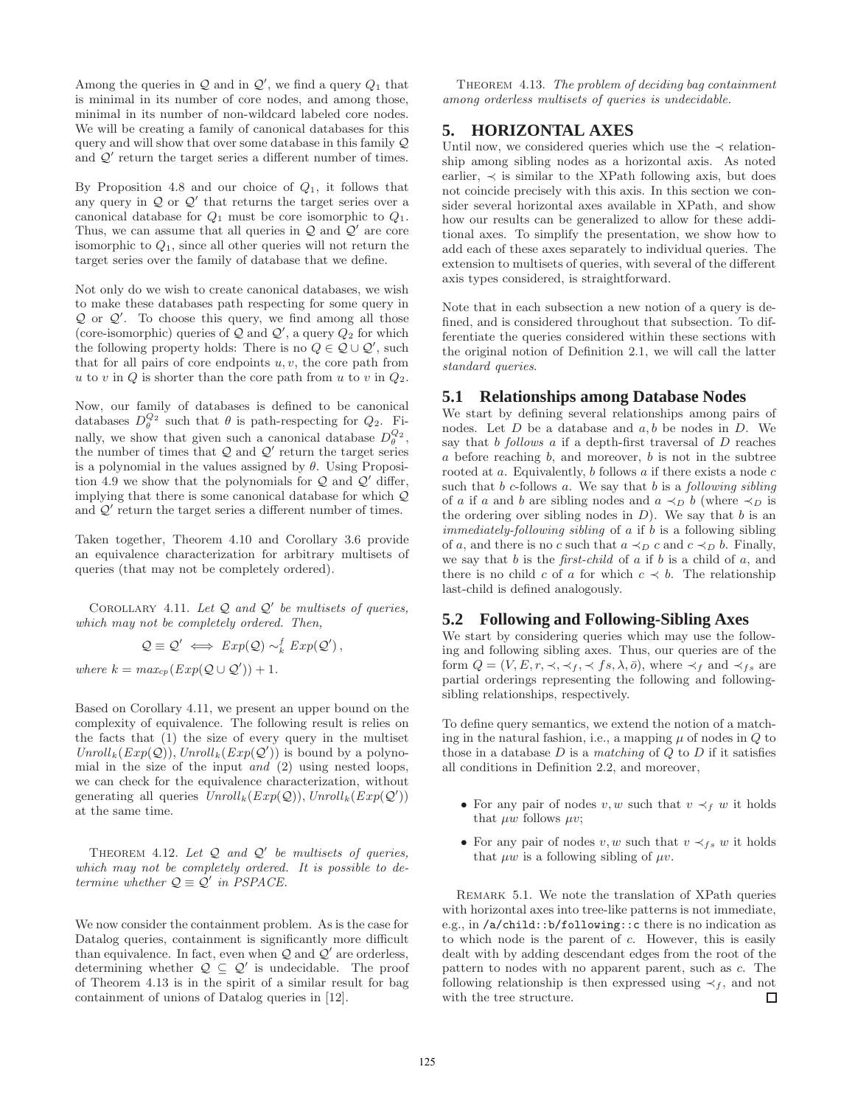Among the queries in  $\mathcal Q$  and in  $\mathcal Q'$ , we find a query  $Q_1$  that is minimal in its number of core nodes, and among those, minimal in its number of non-wildcard labeled core nodes. We will be creating a family of canonical databases for this query and will show that over some database in this family Q and  $Q'$  return the target series a different number of times.

By Proposition 4.8 and our choice of  $Q_1$ , it follows that any query in  $\mathcal Q$  or  $\mathcal Q'$  that returns the target series over a canonical database for  $Q_1$  must be core isomorphic to  $Q_1$ . Thus, we can assume that all queries in  $\mathcal Q$  and  $\mathcal Q'$  are core isomorphic to  $Q_1$ , since all other queries will not return the target series over the family of database that we define.

Not only do we wish to create canonical databases, we wish to make these databases path respecting for some query in  $Q$  or  $Q'$ . To choose this query, we find among all those (core-isomorphic) queries of  $Q$  and  $Q'$ , a query  $Q_2$  for which the following property holds: There is no  $Q \in \mathcal{Q} \cup \mathcal{Q}'$ , such that for all pairs of core endpoints  $u, v$ , the core path from u to v in  $Q$  is shorter than the core path from u to v in  $Q_2$ .

Now, our family of databases is defined to be canonical databases  $D_{\theta}^{Q_2}$  such that  $\theta$  is path-respecting for  $Q_2$ . Finally, we show that given such a canonical database  $D_{\theta}^{Q_2}$ , the number of times that  $Q$  and  $Q'$  return the target series is a polynomial in the values assigned by  $\theta$ . Using Proposition 4.9 we show that the polynomials for  $Q$  and  $Q'$  differ, implying that there is some canonical database for which Q and  $Q'$  return the target series a different number of times.

Taken together, Theorem 4.10 and Corollary 3.6 provide an equivalence characterization for arbitrary multisets of queries (that may not be completely ordered).

COROLLARY 4.11. Let  $Q$  and  $Q'$  be multisets of queries, *which may not be completely ordered. Then,*

$$
Q \equiv Q' \iff Exp(Q) \sim_k^f Exp(Q'),
$$
  
where  $k = max_{cp}(Exp(Q \cup Q')) + 1$ .

Based on Corollary 4.11, we present an upper bound on the complexity of equivalence. The following result is relies on the facts that (1) the size of every query in the multiset  $Unroll_k(Exp(Q)), Unroll_k(Exp(Q'))$  is bound by a polynomial in the size of the input *and* (2) using nested loops, we can check for the equivalence characterization, without generating all queries  $Unroll_k(Exp(Q)), Unroll_k(Exp(Q'))$ at the same time.

THEOREM 4.12. Let Q and Q' be multisets of queries, *which may not be completely ordered. It is possible to determine whether*  $Q \equiv Q'$  *in PSPACE.* 

We now consider the containment problem. As is the case for Datalog queries, containment is significantly more difficult than equivalence. In fact, even when  $Q$  and  $Q'$  are orderless, determining whether  $\mathcal{Q} \subseteq \mathcal{Q}'$  is undecidable. The proof of Theorem 4.13 is in the spirit of a similar result for bag containment of unions of Datalog queries in [12].

Theorem 4.13. *The problem of deciding bag containment among orderless multisets of queries is undecidable.*

# **5. HORIZONTAL AXES**

Until now, we considered queries which use the  $\prec$  relationship among sibling nodes as a horizontal axis. As noted earlier,  $\prec$  is similar to the XPath following axis, but does not coincide precisely with this axis. In this section we consider several horizontal axes available in XPath, and show how our results can be generalized to allow for these additional axes. To simplify the presentation, we show how to add each of these axes separately to individual queries. The extension to multisets of queries, with several of the different axis types considered, is straightforward.

Note that in each subsection a new notion of a query is defined, and is considered throughout that subsection. To differentiate the queries considered within these sections with the original notion of Definition 2.1, we will call the latter *standard queries*.

#### **5.1 Relationships among Database Nodes**

We start by defining several relationships among pairs of nodes. Let  $D$  be a database and  $a, b$  be nodes in  $D$ . We say that b *follows* a if a depth-first traversal of D reaches  $a$  before reaching  $b$ , and moreover,  $b$  is not in the subtree rooted at  $a$ . Equivalently,  $b$  follows  $a$  if there exists a node  $c$ such that b c-follows a. We say that b is a *following sibling* of a if a and b are sibling nodes and  $a \prec_D b$  (where  $\prec_D$  is the ordering over sibling nodes in  $D$ ). We say that  $b$  is an *immediately-following sibling* of a if b is a following sibling of a, and there is no c such that  $a \prec_D c$  and  $c \prec_D b$ . Finally, we say that b is the *first-child* of a if b is a child of a, and there is no child c of a for which  $c \prec b$ . The relationship last-child is defined analogously.

# **5.2 Following and Following-Sibling Axes**

We start by considering queries which may use the following and following sibling axes. Thus, our queries are of the form  $Q = (V, E, r, \prec, \prec_f, \prec fs, \lambda, \overline{o})$ , where  $\prec_f$  and  $\prec_{fs}$  are partial orderings representing the following and followingsibling relationships, respectively.

To define query semantics, we extend the notion of a matching in the natural fashion, i.e., a mapping  $\mu$  of nodes in  $Q$  to those in a database D is a *matching* of Q to D if it satisfies all conditions in Definition 2.2, and moreover,

- For any pair of nodes v, w such that  $v \prec_f w$  it holds that  $\mu w$  follows  $\mu v$ ;
- For any pair of nodes v, w such that  $v \prec_{fs} w$  it holds that  $\mu w$  is a following sibling of  $\mu v$ .

Remark 5.1. We note the translation of XPath queries with horizontal axes into tree-like patterns is not immediate, e.g., in /a/child::b/following::c there is no indication as to which node is the parent of c. However, this is easily dealt with by adding descendant edges from the root of the pattern to nodes with no apparent parent, such as c. The following relationship is then expressed using  $\prec_f$ , and not with the tree structure.  $\Box$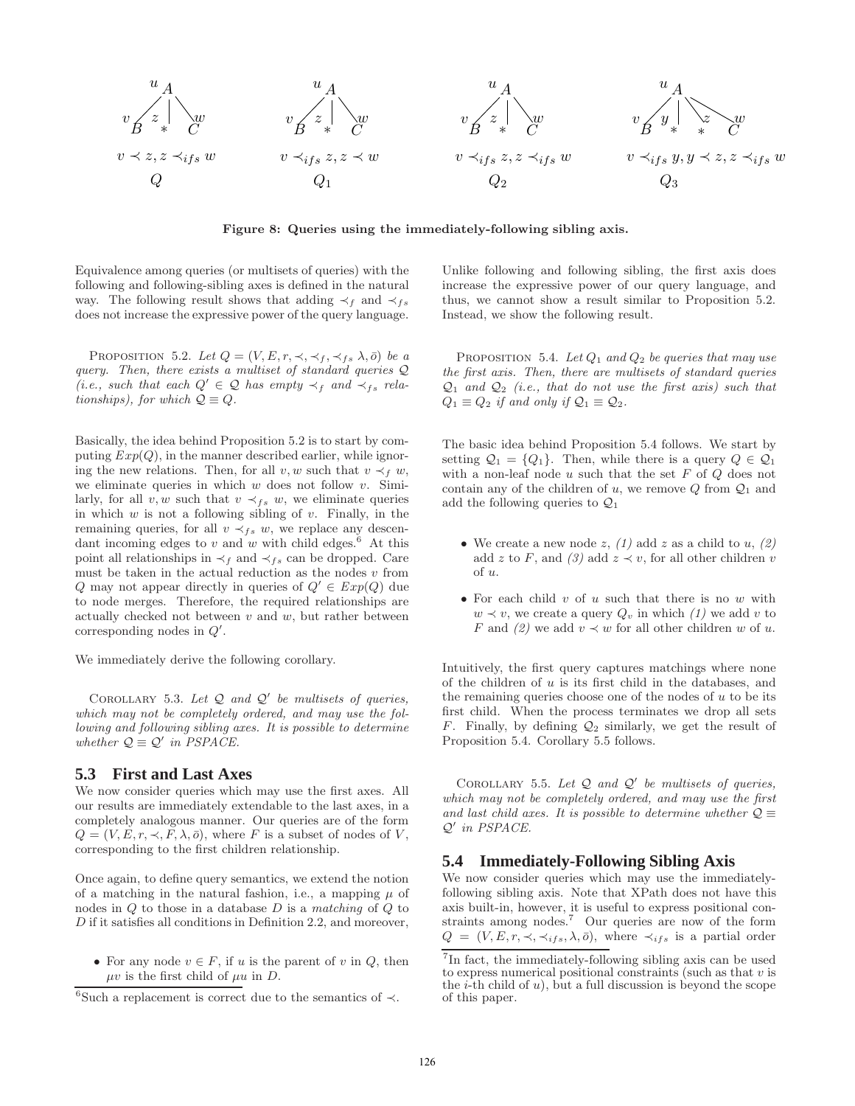

Figure 8: Queries using the immediately-following sibling axis.

Equivalence among queries (or multisets of queries) with the following and following-sibling axes is defined in the natural way. The following result shows that adding  $\prec_f$  and  $\prec_{fs}$ does not increase the expressive power of the query language.

PROPOSITION 5.2. Let  $Q = (V, E, r, \prec, \prec_f, \prec_{fs} \lambda, \bar{o})$  be a *query. Then, there exists a multiset of standard queries* Q *(i.e., such that each*  $Q'$  ∈  $Q$  *has empty*  $\prec_f$  *and*  $\prec_{fs}$  *relationships), for which*  $Q \equiv Q$ .

Basically, the idea behind Proposition 5.2 is to start by computing  $Exp(Q)$ , in the manner described earlier, while ignoring the new relations. Then, for all v, w such that  $v \prec_f w$ , we eliminate queries in which  $w$  does not follow  $v$ . Similarly, for all v, w such that  $v \prec_{fs} w$ , we eliminate queries in which  $w$  is not a following sibling of  $v$ . Finally, in the remaining queries, for all  $v \prec_{fs} w$ , we replace any descendant incoming edges to  $v$  and  $w$  with child edges.<sup>6</sup> At this point all relationships in  $\prec_f$  and  $\prec_{fs}$  can be dropped. Care must be taken in the actual reduction as the nodes  $v$  from Q may not appear directly in queries of  $Q' \in Exp(Q)$  due to node merges. Therefore, the required relationships are actually checked not between  $v$  and  $w$ , but rather between corresponding nodes in  $Q'$ .

We immediately derive the following corollary.

Corollary 5.3. *Let* Q *and* Q ′ *be multisets of queries, which may not be completely ordered, and may use the following and following sibling axes. It is possible to determine whether*  $Q \equiv Q'$  *in PSPACE.* 

# **5.3 First and Last Axes**

We now consider queries which may use the first axes. All our results are immediately extendable to the last axes, in a completely analogous manner. Our queries are of the form  $Q = (V, E, r, \prec, F, \lambda, \bar{o})$ , where F is a subset of nodes of V, corresponding to the first children relationship.

Once again, to define query semantics, we extend the notion of a matching in the natural fashion, i.e., a mapping  $\mu$  of nodes in Q to those in a database D is a *matching* of Q to D if it satisfies all conditions in Definition 2.2, and moreover,

• For any node  $v \in F$ , if u is the parent of v in Q, then  $\mu v$  is the first child of  $\mu u$  in D.

Unlike following and following sibling, the first axis does increase the expressive power of our query language, and thus, we cannot show a result similar to Proposition 5.2. Instead, we show the following result.

Proposition 5.4. *Let* Q<sup>1</sup> *and* Q<sup>2</sup> *be queries that may use the first axis. Then, there are multisets of standard queries* Q<sup>1</sup> *and* Q<sup>2</sup> *(i.e., that do not use the first axis) such that*  $Q_1 \equiv Q_2$  *if and only if*  $Q_1 \equiv Q_2$ .

The basic idea behind Proposition 5.4 follows. We start by setting  $Q_1 = \{Q_1\}$ . Then, while there is a query  $Q \in \mathcal{Q}_1$ with a non-leaf node  $u$  such that the set  $F$  of  $Q$  does not contain any of the children of u, we remove  $Q$  from  $Q_1$  and add the following queries to  $\mathcal{Q}_1$ 

- We create a new node  $z$ ,  $(1)$  add  $z$  as a child to  $u$ ,  $(2)$ add z to F, and  $(3)$  add  $z \prec v$ , for all other children v of u.
- For each child  $v$  of  $u$  such that there is no  $w$  with  $w \prec v$ , we create a query  $Q_v$  in which  $(1)$  we add v to F and  $(2)$  we add  $v \prec w$  for all other children w of u.

Intuitively, the first query captures matchings where none of the children of  $u$  is its first child in the databases, and the remaining queries choose one of the nodes of  $u$  to be its first child. When the process terminates we drop all sets F. Finally, by defining  $\mathcal{Q}_2$  similarly, we get the result of Proposition 5.4. Corollary 5.5 follows.

Corollary 5.5. *Let* Q *and* Q ′ *be multisets of queries, which may not be completely ordered, and may use the first* and last child axes. It is possible to determine whether  $\mathcal{Q} \equiv$ Q ′ *in PSPACE.*

## **5.4 Immediately-Following Sibling Axis**

We now consider queries which may use the immediatelyfollowing sibling axis. Note that XPath does not have this axis built-in, however, it is useful to express positional constraints among nodes.<sup>7</sup> Our queries are now of the form  $Q = (V, E, r, \prec, \prec_{ifs}, \lambda, \overline{o})$ , where  $\prec_{ifs}$  is a partial order

<sup>6</sup> Such a replacement is correct due to the semantics of ≺.

<sup>&</sup>lt;sup>7</sup>In fact, the immediately-following sibling axis can be used to express numerical positional constraints (such as that  $v$  is the  $i$ -th child of u), but a full discussion is beyond the scope of this paper.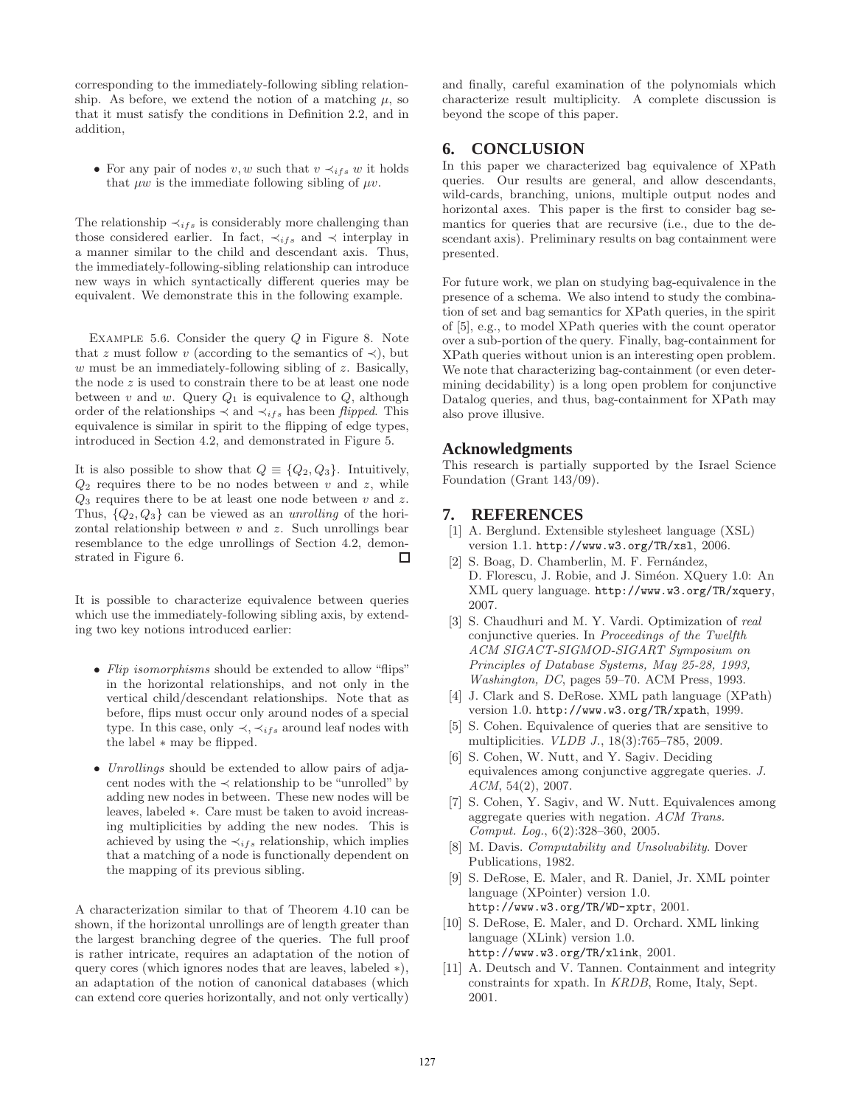corresponding to the immediately-following sibling relationship. As before, we extend the notion of a matching  $\mu$ , so that it must satisfy the conditions in Definition 2.2, and in addition,

• For any pair of nodes v, w such that  $v \prec_{ifs} w$  it holds that  $\mu w$  is the immediate following sibling of  $\mu v$ .

The relationship  $\prec_{ifs}$  is considerably more challenging than those considered earlier. In fact,  $\prec_{ifs}$  and  $\prec$  interplay in a manner similar to the child and descendant axis. Thus, the immediately-following-sibling relationship can introduce new ways in which syntactically different queries may be equivalent. We demonstrate this in the following example.

EXAMPLE 5.6. Consider the query  $Q$  in Figure 8. Note that z must follow v (according to the semantics of  $\prec$ ), but  $w$  must be an immediately-following sibling of  $z$ . Basically, the node  $z$  is used to constrain there to be at least one node between v and w. Query  $Q_1$  is equivalence to  $Q$ , although order of the relationships  $\prec$  and  $\prec$ <sub>ifs</sub> has been *flipped*. This equivalence is similar in spirit to the flipping of edge types, introduced in Section 4.2, and demonstrated in Figure 5.

It is also possible to show that  $Q \equiv \{Q_2, Q_3\}$ . Intuitively,  $Q_2$  requires there to be no nodes between v and z, while  $Q_3$  requires there to be at least one node between v and z. Thus, {Q2, Q3} can be viewed as an *unrolling* of the horizontal relationship between  $v$  and  $z$ . Such unrollings bear resemblance to the edge unrollings of Section 4.2, demonstrated in Figure 6. □

It is possible to characterize equivalence between queries which use the immediately-following sibling axis, by extending two key notions introduced earlier:

- *Flip isomorphisms* should be extended to allow "flips" in the horizontal relationships, and not only in the vertical child/descendant relationships. Note that as before, flips must occur only around nodes of a special type. In this case, only  $\prec, \prec_{ifs}$  around leaf nodes with the label ∗ may be flipped.
- *Unrollings* should be extended to allow pairs of adjacent nodes with the  $\prec$  relationship to be "unrolled" by adding new nodes in between. These new nodes will be leaves, labeled ∗. Care must be taken to avoid increasing multiplicities by adding the new nodes. This is achieved by using the  $\prec_{ifs}$  relationship, which implies that a matching of a node is functionally dependent on the mapping of its previous sibling.

A characterization similar to that of Theorem 4.10 can be shown, if the horizontal unrollings are of length greater than the largest branching degree of the queries. The full proof is rather intricate, requires an adaptation of the notion of query cores (which ignores nodes that are leaves, labeled ∗), an adaptation of the notion of canonical databases (which can extend core queries horizontally, and not only vertically)

and finally, careful examination of the polynomials which characterize result multiplicity. A complete discussion is beyond the scope of this paper.

# **6. CONCLUSION**

In this paper we characterized bag equivalence of XPath queries. Our results are general, and allow descendants, wild-cards, branching, unions, multiple output nodes and horizontal axes. This paper is the first to consider bag semantics for queries that are recursive (i.e., due to the descendant axis). Preliminary results on bag containment were presented.

For future work, we plan on studying bag-equivalence in the presence of a schema. We also intend to study the combination of set and bag semantics for XPath queries, in the spirit of [5], e.g., to model XPath queries with the count operator over a sub-portion of the query. Finally, bag-containment for XPath queries without union is an interesting open problem. We note that characterizing bag-containment (or even determining decidability) is a long open problem for conjunctive Datalog queries, and thus, bag-containment for XPath may also prove illusive.

# **Acknowledgments**

This research is partially supported by the Israel Science Foundation (Grant 143/09).

# **7. REFERENCES**

- [1] A. Berglund. Extensible stylesheet language (XSL) version 1.1. http://www.w3.org/TR/xsl, 2006.
- [2] S. Boag, D. Chamberlin, M. F. Fernández, D. Florescu, J. Robie, and J. Siméon. XQuery 1.0: An XML query language. http://www.w3.org/TR/xquery, 2007.
- [3] S. Chaudhuri and M. Y. Vardi. Optimization of *real* conjunctive queries. In *Proceedings of the Twelfth ACM SIGACT-SIGMOD-SIGART Symposium on Principles of Database Systems, May 25-28, 1993, Washington, DC*, pages 59–70. ACM Press, 1993.
- [4] J. Clark and S. DeRose. XML path language (XPath) version 1.0. http://www.w3.org/TR/xpath, 1999.
- [5] S. Cohen. Equivalence of queries that are sensitive to multiplicities. *VLDB J.*, 18(3):765–785, 2009.
- [6] S. Cohen, W. Nutt, and Y. Sagiv. Deciding equivalences among conjunctive aggregate queries. *J. ACM*, 54(2), 2007.
- [7] S. Cohen, Y. Sagiv, and W. Nutt. Equivalences among aggregate queries with negation. *ACM Trans. Comput. Log.*, 6(2):328–360, 2005.
- [8] M. Davis. *Computability and Unsolvability*. Dover Publications, 1982.
- [9] S. DeRose, E. Maler, and R. Daniel, Jr. XML pointer language (XPointer) version 1.0. http://www.w3.org/TR/WD-xptr, 2001.
- [10] S. DeRose, E. Maler, and D. Orchard. XML linking language (XLink) version 1.0. http://www.w3.org/TR/xlink, 2001.
- [11] A. Deutsch and V. Tannen. Containment and integrity constraints for xpath. In *KRDB*, Rome, Italy, Sept. 2001.